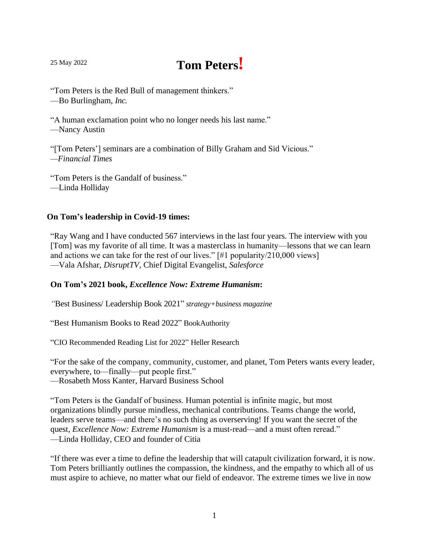# <sup>25</sup> May <sup>2022</sup> **Tom Peters!**

"Tom Peters is the Red Bull of management thinkers." —Bo Burlingham, *Inc.*

"A human exclamation point who no longer needs his last name." —Nancy Austin

"[Tom Peters'] seminars are a combination of Billy Graham and Sid Vicious." *—Financial Times*

"Tom Peters is the Gandalf of business." —Linda Holliday

### **On Tom's leadership in Covid-19 times:**

"Ray Wang and I have conducted 567 interviews in the last four years. The interview with you [Tom] was my favorite of all time. It was a masterclass in humanity—lessons that we can learn and actions we can take for the rest of our lives."  $\lceil #1 \rceil$  popularity/210,000 views —Vala Afshar, *DisruptTV,* Chief Digital Evangelist, *Salesforce*

#### **On Tom's 2021 book,** *Excellence Now: Extreme Humanism***:**

*"*Best Business/ Leadership Book 2021" *strategy+business magazine*

"Best Humanism Books to Read 2022" BookAuthority

"CIO Recommended Reading List for 2022" Heller Research

"For the sake of the company, community, customer, and planet, Tom Peters wants every leader, everywhere, to—finally—put people first."

—Rosabeth Moss Kanter, Harvard Business School

"Tom Peters is the Gandalf of business. Human potential is infinite magic, but most organizations blindly pursue mindless, mechanical contributions. Teams change the world, leaders serve teams—and there's no such thing as overserving! If you want the secret of the quest, *Excellence Now: Extreme Humanism* is a must-read—and a must often reread." —Linda Holliday, CEO and founder of Citia

"If there was ever a time to define the leadership that will catapult civilization forward, it is now. Tom Peters brilliantly outlines the compassion, the kindness, and the empathy to which all of us must aspire to achieve, no matter what our field of endeavor. The extreme times we live in now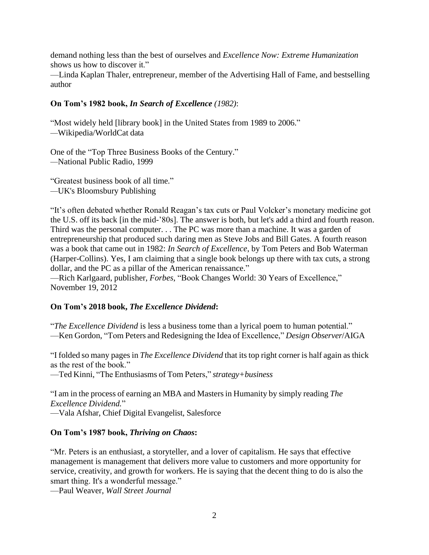demand nothing less than the best of ourselves and *Excellence Now: Extreme Humanization* shows us how to discover it."

—Linda Kaplan Thaler, entrepreneur, member of the Advertising Hall of Fame, and bestselling author

## **On Tom's 1982 book,** *In Search of Excellence (1982)*:

"Most widely held [library book] in the United States from 1989 to 2006." *—*Wikipedia/WorldCat data

One of the "Top Three Business Books of the Century." *—*National Public Radio, 1999

"Greatest business book of all time." *—*UK's Bloomsbury Publishing

"It's often debated whether Ronald Reagan's tax cuts or Paul Volcker's monetary medicine got the U.S. off its back [in the mid-'80s]. The answer is both, but let's add a third and fourth reason. Third was the personal computer. . . The PC was more than a machine. It was a garden of entrepreneurship that produced such daring men as Steve Jobs and Bill Gates. A fourth reason was a book that came out in 1982: *In Search of Excellence*, by Tom Peters and Bob Waterman (Harper-Collins). Yes, I am claiming that a single book belongs up there with tax cuts, a strong dollar, and the PC as a pillar of the American renaissance."

—Rich Karlgaard, publisher, *Forbes*, "Book Changes World: 30 Years of Excellence," November 19, 2012

#### **On Tom's 2018 book,** *The Excellence Dividend***:**

"*The Excellence Dividend* is less a business tome than a lyrical poem to human potential." —Ken Gordon, "Tom Peters and Redesigning the Idea of Excellence," *Design Observer*/AIGA

"I folded so many pagesin *The Excellence Dividend* that itstop right corner is half again as thick as the rest of the book."

—Ted Kinni, "The Enthusiasms of Tom Peters," *strategy+business*

"I am in the process of earning an MBA and Mastersin Humanity by simply reading *The Excellence Dividend.*" —Vala Afshar, Chief Digital Evangelist, Salesforce

#### **On Tom's 1987 book,** *Thriving on Chaos***:**

"Mr. Peters is an enthusiast, a storyteller, and a lover of capitalism. He says that effective management is management that delivers more value to customers and more opportunity for service, creativity, and growth for workers. He is saying that the decent thing to do is also the smart thing. It's a wonderful message."

—Paul Weaver, *Wall Street Journal*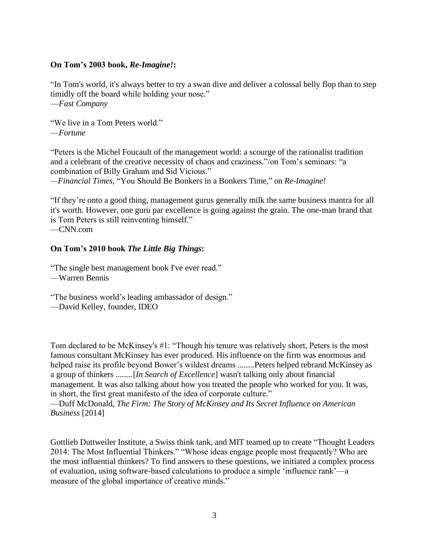#### **On Tom's 2003 book,** *Re-Imagine!***:**

"In Tom's world, it's always better to try a swan dive and deliver a colossal belly flop than to step timidly off the board while holding your nose." —*Fast Company*

"We live in a Tom Peters world." —*Fortune*

"Peters is the Michel Foucault of the management world: a scourge of the rationalist tradition and a celebrant of the creative necessity of chaos and craziness."/on Tom's seminars: "a combination of Billy Graham and Sid Vicious."

*—Financial Times*, "You Should Be Bonkers in a Bonkers Time," on *Re-Imagine!*

"If they're onto a good thing, management gurus generally milk the same business mantra for all it's worth. However, one guru par excellence is going against the grain. The one-man brand that is Tom Peters is still reinventing himself."

—CNN.com

#### **On Tom's 2010 book** *The Little Big Things***:**

"The single best management book I've ever read."

—Warren Bennis

"The business world's leading ambassador of design."

—David Kelley, founder, IDEO

Tom declared to be McKinsey's #1: "Though his tenure was relatively short, Peters is the most famous consultant McKinsey has ever produced. His influence on the firm was enormous and helped raise its profile beyond Bower's wildest dreams ........Peters helped rebrand McKinsey as a group of thinkers ........[*In Search of Excellence*] wasn't talking only about financial management. It was also talking about how you treated the people who worked for you. It was, in short, the first great manifesto of the idea of corporate culture."

—Duff McDonald, *The Firm: The Story of McKinsey and Its Secret Influence on American Business* [2014]

Gottlieb Duttweiler Institute, a Swiss think tank, and MIT teamed up to create "Thought Leaders 2014: The Most Influential Thinkers." "Whose ideas engage people most frequently? Who are the most influential thinkers? To find answers to these questions, we initiated a complex process of evaluation, using software-based calculations to produce a simple 'influence rank'—a measure of the global importance of creative minds."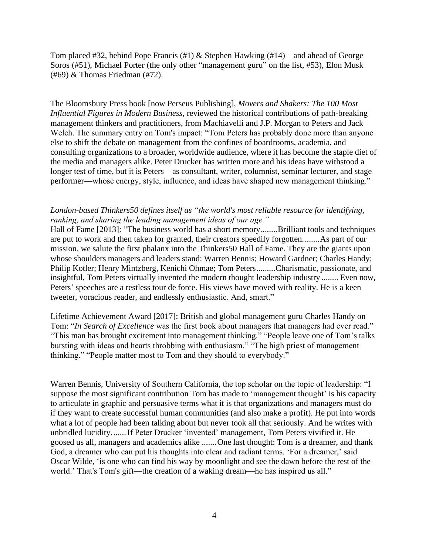Tom placed #32, behind Pope Francis (#1) & Stephen Hawking (#14)—and ahead of George Soros (#51), Michael Porter (the only other "management guru" on the list, #53), Elon Musk (#69) & Thomas Friedman (#72).

The Bloomsbury Press book [now Perseus Publishing], *Movers and Shakers: The 100 Most Influential Figures in Modern Business*, reviewed the historical contributions of path-breaking management thinkers and practitioners, from Machiavelli and J.P. Morgan to Peters and Jack Welch. The summary entry on Tom's impact: "Tom Peters has probably done more than anyone else to shift the debate on management from the confines of boardrooms, academia, and consulting organizations to a broader, worldwide audience, where it has become the staple diet of the media and managers alike. Peter Drucker has written more and his ideas have withstood a longer test of time, but it is Peters—as consultant, writer, columnist, seminar lecturer, and stage performer—whose energy, style, influence, and ideas have shaped new management thinking."

#### *London-based Thinkers50 defines itself as "the world's most reliable resource for identifying, ranking, and sharing the leading management ideas of our age."*

Hall of Fame [2013]: "The business world has a short memory........Brilliant tools and techniques are put to work and then taken for granted, their creators speedily forgotten........As part of our mission, we salute the first phalanx into the Thinkers50 Hall of Fame. They are the giants upon whose shoulders managers and leaders stand: Warren Bennis; Howard Gardner; Charles Handy; Philip Kotler; Henry Mintzberg, Kenichi Ohmae; Tom Peters.........Charismatic, passionate, and insightful, Tom Peters virtually invented the modern thought leadership industry ........ Even now, Peters' speeches are a restless tour de force. His views have moved with reality. He is a keen tweeter, voracious reader, and endlessly enthusiastic. And, smart."

Lifetime Achievement Award [2017]: British and global management guru Charles Handy on Tom: "*In Search of Excellence* was the first book about managers that managers had ever read." "This man has brought excitement into management thinking." "People leave one of Tom's talks bursting with ideas and hearts throbbing with enthusiasm." "The high priest of management thinking." "People matter most to Tom and they should to everybody."

Warren Bennis, University of Southern California, the top scholar on the topic of leadership: "I suppose the most significant contribution Tom has made to 'management thought' is his capacity to articulate in graphic and persuasive terms what it is that organizations and managers must do if they want to create successful human communities (and also make a profit). He put into words what a lot of people had been talking about but never took all that seriously. And he writes with unbridled lucidity.......If Peter Drucker 'invented' management, Tom Peters vivified it. He goosed us all, managers and academics alike .......One last thought: Tom is a dreamer, and thank God, a dreamer who can put his thoughts into clear and radiant terms. 'For a dreamer,' said Oscar Wilde, 'is one who can find his way by moonlight and see the dawn before the rest of the world.' That's Tom's gift—the creation of a waking dream—he has inspired us all."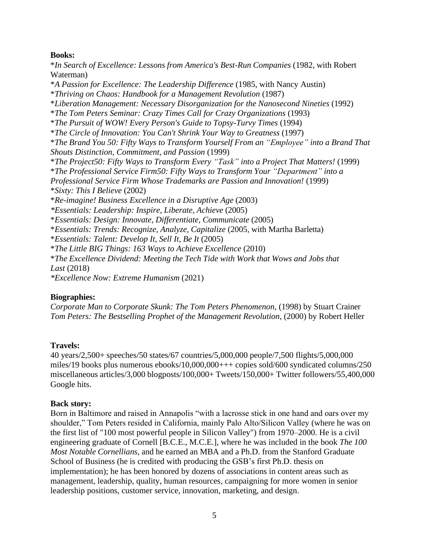#### **Books:**

\**In Search of Excellence: Lessons from America's Best-Run Companies* (1982, with Robert Waterman) \**A Passion for Excellence: The Leadership Difference* (1985, with Nancy Austin) \**Thriving on Chaos: Handbook for a Management Revolution* (1987) \**Liberation Management: Necessary Disorganization for the Nanosecond Nineties* (1992) \**The Tom Peters Seminar: Crazy Times Call for Crazy Organizations* (1993) \**The Pursuit of WOW! Every Person's Guide to Topsy-Turvy Times* (1994) \**The Circle of Innovation: You Can't Shrink Your Way to Greatness* (1997) \**The Brand You 50: Fifty Ways to Transform Yourself From an "Employee" into a Brand That Shouts Distinction, Commitment, and Passion* (1999) \**The Project50: Fifty Ways to Transform Every "Task" into a Project That Matters!* (1999) \**The Professional Service Firm50: Fifty Ways to Transform Your "Department" into a Professional Service Firm Whose Trademarks are Passion and Innovation!* (1999) \**Sixty: This I Believe* (2002) \**Re-imagine! Business Excellence in a Disruptive Age* (2003) *\*Essentials: Leadership: Inspire, Liberate, Achieve* (2005) \**Essentials: Design: Innovate, Differentiate, Communicate* (2005) \**Essentials: Trends: Recognize, Analyze, Capitalize* (2005, with Martha Barletta) \**Essentials: Talent: Develop It, Sell It, Be It* (2005) \**The Little BIG Things: 163 Ways to Achieve Excellence* (2010) \**The Excellence Dividend: Meeting the Tech Tide with Work that Wows and Jobs that Last* (2018) *\*Excellence Now: Extreme Humanism* (2021)

#### **Biographies:**

*Corporate Man to Corporate Skunk: The Tom Peters Phenomenon*, (1998) by Stuart Crainer *Tom Peters: The Bestselling Prophet of the Management Revolution*, (2000) by Robert Heller

# **Travels:**

40 years/2,500+ speeches/50 states/67 countries/5,000,000 people/7,500 flights/5,000,000 miles/19 books plus numerous ebooks/10,000,000+++ copies sold/600 syndicated columns/250 miscellaneous articles/3,000 blogposts/100,000+ Tweets/150,000+ Twitter followers/55,400,000 Google hits.

#### **Back story:**

Born in Baltimore and raised in Annapolis "with a lacrosse stick in one hand and oars over my shoulder," Tom Peters resided in California, mainly Palo Alto/Silicon Valley (where he was on the first list of "100 most powerful people in Silicon Valley") from 1970–2000. He is a civil engineering graduate of Cornell [B.C.E., M.C.E.], where he was included in the book *The 100 Most Notable Cornellians*, and he earned an MBA and a Ph.D. from the Stanford Graduate School of Business (he is credited with producing the GSB's first Ph.D. thesis on implementation); he has been honored by dozens of associations in content areas such as management, leadership, quality, human resources, campaigning for more women in senior leadership positions, customer service, innovation, marketing, and design.